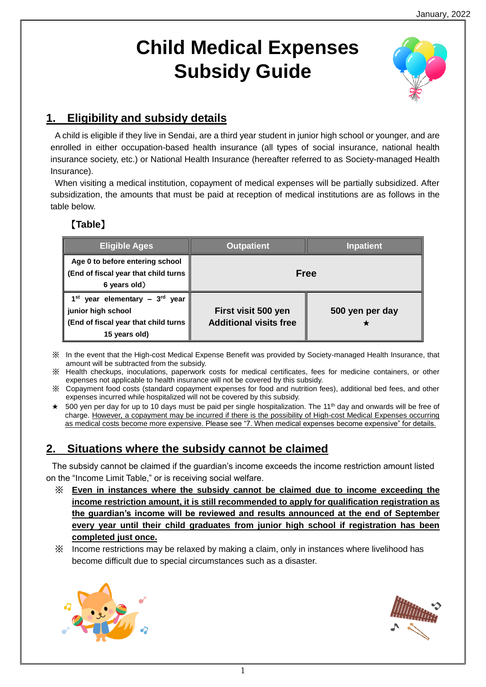# **Child Medical Expenses Subsidy Guide**



# **1. Eligibility and subsidy details**

A child is eligible if they live in Sendai, are a third year student in junior high school or younger, and are enrolled in either occupation-based health insurance (all types of social insurance, national health insurance society, etc.) or National Health Insurance (hereafter referred to as Society-managed Health Insurance).

When visiting a medical institution, copayment of medical expenses will be partially subsidized. After subsidization, the amounts that must be paid at reception of medical institutions are as follows in the table below.

# 【**Table**】

| <b>Eligible Ages</b>                                                                                                     | Outpatient                                           | <b>Inpatient</b> |  |
|--------------------------------------------------------------------------------------------------------------------------|------------------------------------------------------|------------------|--|
| Age 0 to before entering school<br>  (End of fiscal year that child turns<br>6 years old)                                | Free                                                 |                  |  |
| 1 <sup>st</sup> year elementary - 3rd year<br>junior high school<br>End of fiscal year that child turns<br>15 years old) | First visit 500 yen<br><b>Additional visits free</b> | 500 yen per day  |  |

※ In the event that the High-cost Medical Expense Benefit was provided by Society-managed Health Insurance, that amount will be subtracted from the subsidy.

- ※ Health checkups, inoculations, paperwork costs for medical certificates, fees for medicine containers, or other expenses not applicable to health insurance will not be covered by this subsidy.
- ※ Copayment food costs (standard copayment expenses for food and nutrition fees), additional bed fees, and other expenses incurred while hospitalized will not be covered by this subsidy.
- $\star$  500 yen per day for up to 10 days must be paid per single hospitalization. The 11<sup>th</sup> day and onwards will be free of charge. However, a copayment may be incurred if there is the possibility of High-cost Medical Expenses occurring as medical costs become more expensive. Please see "7. When medical expenses become expensive" for details.

### **2. Situations where the subsidy cannot be claimed**

The subsidy cannot be claimed if the guardian's income exceeds the income restriction amount listed on the "Income Limit Table," or is receiving social welfare.

- ※ **Even in instances where the subsidy cannot be claimed due to income exceeding the income restriction amount, it is still recommended to apply for qualification registration as the guardian's income will be reviewed and results announced at the end of September every year until their child graduates from junior high school if registration has been completed just once.**
- ※ Income restrictions may be relaxed by making a claim, only in instances where livelihood has become difficult due to special circumstances such as a disaster.



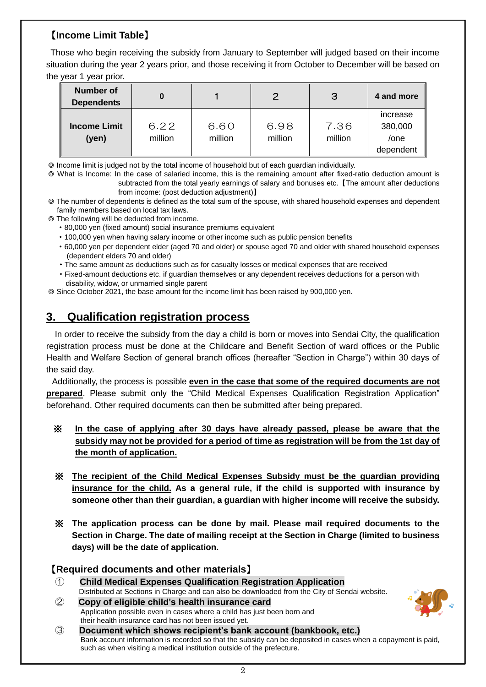### 【**Income Limit Table**】

Those who begin receiving the subsidy from January to September will judged based on their income situation during the year 2 years prior, and those receiving it from October to December will be based on the year 1 year prior.

| <b>Number of</b><br><b>Dependents</b> | 0               |                 | 2               | 3               | 4 and more                               |
|---------------------------------------|-----------------|-----------------|-----------------|-----------------|------------------------------------------|
| <b>Income Limit</b><br>(yen)          | 6.22<br>million | 6.60<br>million | 6.98<br>million | 7.36<br>million | increase<br>380,000<br>/one<br>dependent |

◎ Income limit is judged not by the total income of household but of each guardian individually.

◎ What is Income: In the case of salaried income, this is the remaining amount after fixed-ratio deduction amount is subtracted from the total yearly earnings of salary and bonuses etc.【The amount after deductions from income: (post deduction adjustment)】

- ◎ The number of dependents is defined as the total sum of the spouse, with shared household expenses and dependent family members based on local tax laws.
- ◎ The following will be deducted from income.
	- ・80,000 yen (fixed amount) social insurance premiums equivalent
	- ・100,000 yen when having salary income or other income such as public pension benefits
	- ・60,000 yen per dependent elder (aged 70 and older) or spouse aged 70 and older with shared household expenses (dependent elders 70 and older)
	- ・The same amount as deductions such as for casualty losses or medical expenses that are received
	- ・Fixed-amount deductions etc. if guardian themselves or any dependent receives deductions for a person with disability, widow, or unmarried single parent
- ◎ Since October 2021, the base amount for the income limit has been raised by 900,000 yen.

# **3. Qualification registration process**

In order to receive the subsidy from the day a child is born or moves into Sendai City, the qualification registration process must be done at the Childcare and Benefit Section of ward offices or the Public Health and Welfare Section of general branch offices (hereafter "Section in Charge") within 30 days of the said day.

Additionally, the process is possible **even in the case that some of the required documents are not prepared**. Please submit only the "Child Medical Expenses Qualification Registration Application" beforehand. Other required documents can then be submitted after being prepared.

#### ※ **In the case of applying after 30 days have already passed, please be aware that the subsidy may not be provided for a period of time as registration will be from the 1st day of the month of application.**

- ※ **The recipient of the Child Medical Expenses Subsidy must be the guardian providing insurance for the child. As a general rule, if the child is supported with insurance by someone other than their guardian, a guardian with higher income will receive the subsidy.**
- ※ **The application process can be done by mail. Please mail required documents to the Section in Charge. The date of mailing receipt at the Section in Charge (limited to business days) will be the date of application.**

### 【**Required documents and other materials**】

- ① **Child Medical Expenses Qualification Registration Application** Distributed at Sections in Charge and can also be downloaded from the City of Sendai website.
- ② **Copy of eligible child's health insurance card** Application possible even in cases where a child has just been born and their health insurance card has not been issued yet.



③ **Document which shows recipient's bank account (bankbook, etc.)** Bank account information is recorded so that the subsidy can be deposited in cases when a copayment is paid, such as when visiting a medical institution outside of the prefecture.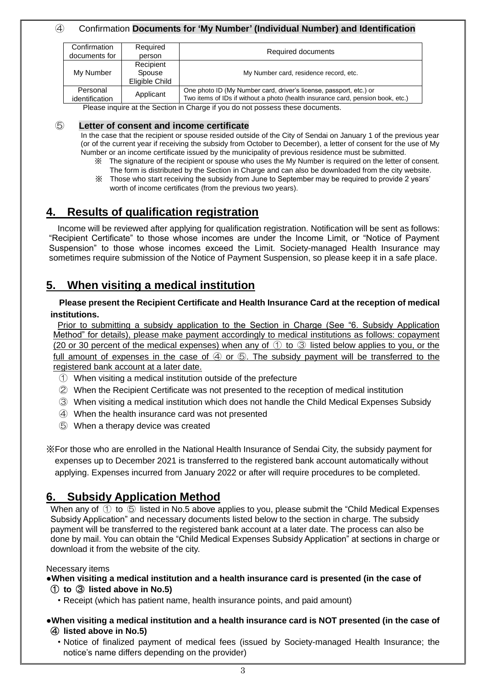#### ④ Confirmation **Documents for 'My Number' (Individual Number) and Identification**

| Confirmation<br>documents for | Required<br>person                    | Required documents                                                                                                                                    |
|-------------------------------|---------------------------------------|-------------------------------------------------------------------------------------------------------------------------------------------------------|
| My Number                     | Recipient<br>Spouse<br>Eligible Child | My Number card, residence record, etc.                                                                                                                |
| Personal<br>identification    | Applicant                             | One photo ID (My Number card, driver's license, passport, etc.) or<br>Two items of IDs if without a photo (health insurance card, pension book, etc.) |

Please inquire at the Section in Charge if you do not possess these documents.

#### ⑤ **Letter of consent and income certificate**

In the case that the recipient or spouse resided outside of the City of Sendai on January 1 of the previous year (or of the current year if receiving the subsidy from October to December), a letter of consent for the use of My Number or an income certificate issued by the municipality of previous residence must be submitted.

- ※ The signature of the recipient or spouse who uses the My Number is required on the letter of consent. The form is distributed by the Section in Charge and can also be downloaded from the city website.
- ※ Those who start receiving the subsidy from June to September may be required to provide 2 years' worth of income certificates (from the previous two years).

### **4. Results of qualification registration**

Income will be reviewed after applying for qualification registration. Notification will be sent as follows: "Recipient Certificate" to those whose incomes are under the Income Limit, or "Notice of Payment Suspension" to those whose incomes exceed the Limit. Society-managed Health Insurance may sometimes require submission of the Notice of Payment Suspension, so please keep it in a safe place.

### **5. When visiting a medical institution**

#### **Please present the Recipient Certificate and Health Insurance Card at the reception of medical institutions.**

Prior to submitting a subsidy application to the Section in Charge (See "6. Subsidy Application Method" for details), please make payment accordingly to medical institutions as follows: copayment (20 or 30 percent of the medical expenses) when any of ① to ③ listed below applies to you, or the full amount of expenses in the case of  $\overline{4}$  or  $\overline{6}$ . The subsidy payment will be transferred to the registered bank account at a later date.

- ① When visiting a medical institution outside of the prefecture
- ② When the Recipient Certificate was not presented to the reception of medical institution
- ③ When visiting a medical institution which does not handle the Child Medical Expenses Subsidy
- ④ When the health insurance card was not presented
- ⑤ When a therapy device was created

※For those who are enrolled in the National Health Insurance of Sendai City, the subsidy payment for expenses up to December 2021 is transferred to the registered bank account automatically without applying. Expenses incurred from January 2022 or after will require procedures to be completed.

### **6. Subsidy Application Method**

When any of  $\odot$  to  $\odot$  listed in No.5 above applies to you, please submit the "Child Medical Expenses" Subsidy Application" and necessary documents listed below to the section in charge. The subsidy payment will be transferred to the registered bank account at a later date. The process can also be done by mail. You can obtain the "Child Medical Expenses Subsidy Application" at sections in charge or download it from the website of the city.

#### Necessary items

**●When visiting a medical institution and a health insurance card is presented (in the case of**  ① **to** ③ **listed above in No.5)**

・Receipt (which has patient name, health insurance points, and paid amount)

#### **●When visiting a medical institution and a health insurance card is NOT presented (in the case of**  ④ **listed above in No.5)**

・Notice of finalized payment of medical fees (issued by Society-managed Health Insurance; the notice's name differs depending on the provider)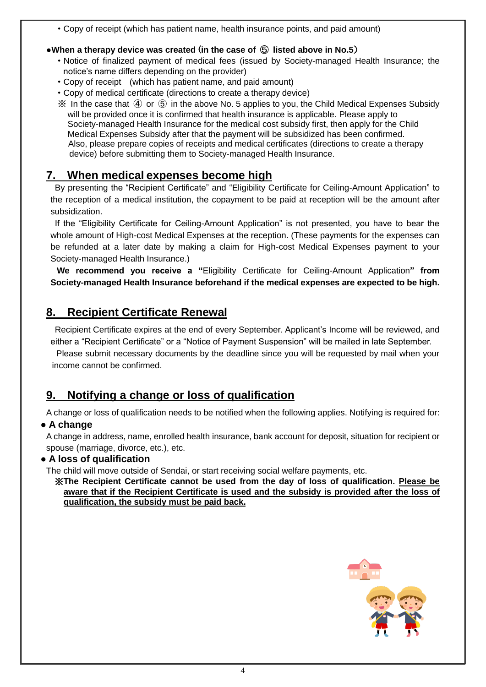・Copy of receipt (which has patient name, health insurance points, and paid amount)

### **●When a therapy device was created** (**in the case of** ⑤ **listed above in No.5**)

- ・Notice of finalized payment of medical fees (issued by Society-managed Health Insurance; the notice's name differs depending on the provider)
- ・Copy of receipt (which has patient name, and paid amount)
- ・Copy of medical certificate (directions to create a therapy device)
- ※ In the case that ④ or ⑤ in the above No. 5 applies to you, the Child Medical Expenses Subsidy will be provided once it is confirmed that health insurance is applicable. Please apply to Society-managed Health Insurance for the medical cost subsidy first, then apply for the Child Medical Expenses Subsidy after that the payment will be subsidized has been confirmed. Also, please prepare copies of receipts and medical certificates (directions to create a therapy device) before submitting them to Society-managed Health Insurance.

# **7. When medical expenses become high**

By presenting the "Recipient Certificate" and "Eligibility Certificate for Ceiling-Amount Application" to the reception of a medical institution, the copayment to be paid at reception will be the amount after subsidization.

If the "Eligibility Certificate for Ceiling-Amount Application" is not presented, you have to bear the whole amount of High-cost Medical Expenses at the reception. (These payments for the expenses can be refunded at a later date by making a claim for High-cost Medical Expenses payment to your Society-managed Health Insurance.)

 **We recommend you receive a "**Eligibility Certificate for Ceiling-Amount Application**" from Society-managed Health Insurance beforehand if the medical expenses are expected to be high.**

# **8. Recipient Certificate Renewal**

Recipient Certificate expires at the end of every September. Applicant's Income will be reviewed, and either a "Recipient Certificate" or a "Notice of Payment Suspension" will be mailed in late September. Please submit necessary documents by the deadline since you will be requested by mail when your income cannot be confirmed.

# **9. Notifying a change or loss of qualification**

A change or loss of qualification needs to be notified when the following applies. Notifying is required for:

### **● A change**

A change in address, name, enrolled health insurance, bank account for deposit, situation for recipient or spouse (marriage, divorce, etc.), etc.

### **● A loss of qualification**

The child will move outside of Sendai, or start receiving social welfare payments, etc.

※**The Recipient Certificate cannot be used from the day of loss of qualification. Please be aware that if the Recipient Certificate is used and the subsidy is provided after the loss of qualification, the subsidy must be paid back.**